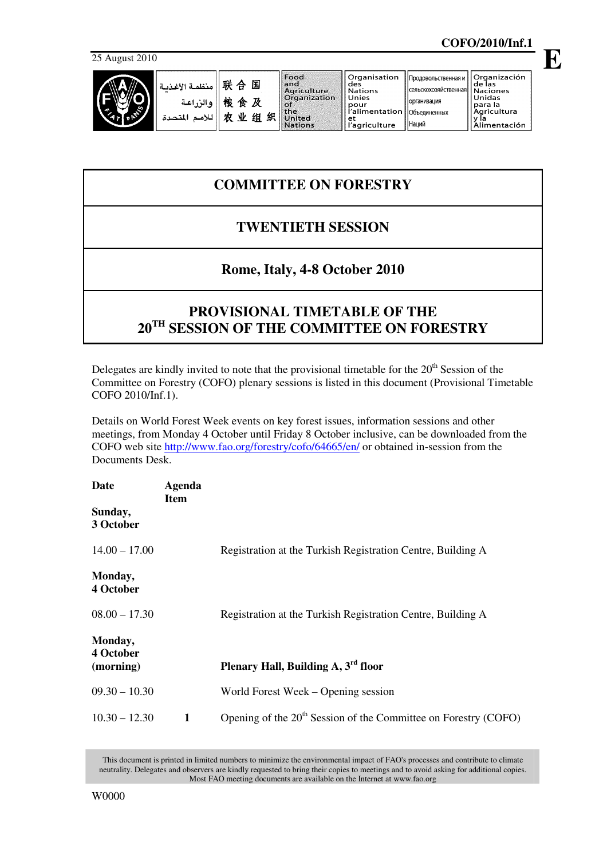25 August 2010



|                                            |        |   | Food                | ll Organisation               | Продовольственная и                     | l Organización |
|--------------------------------------------|--------|---|---------------------|-------------------------------|-----------------------------------------|----------------|
| $"$ أ منظمة الأغذبة $\mathbb H$ $\oplus$ . |        |   | and                 | des                           |                                         | de las         |
|                                            |        |   | Agriculture         | l Nations                     | <b>«Гельскохозяйственная   Naciones</b> |                |
|                                            |        |   | <b>Organization</b> | Unies                         | <b> Организация</b>                     | Unidas         |
| والزراعية                                  | 粮<br>食 | 及 |                     | pour                          |                                         | l para la      |
|                                            |        |   | the                 | l'alimentation   Объединенных |                                         | Agricultura    |
| للأمد<br>المتحدة                           | 业<br>农 | 组 | 织<br>United         | еt                            |                                         |                |
|                                            |        |   | Nations             | "agriculture                  | I Наций                                 | limentación    |

## **COMMITTEE ON FORESTRY**

## **TWENTIETH SESSION**

## **Rome, Italy, 4-8 October 2010**

## **PROVISIONAL TIMETABLE OF THE 20TH SESSION OF THE COMMITTEE ON FORESTRY**

Delegates are kindly invited to note that the provisional timetable for the  $20<sup>th</sup>$  Session of the Committee on Forestry (COFO) plenary sessions is listed in this document (Provisional Timetable COFO 2010/Inf.1).

Details on World Forest Week events on key forest issues, information sessions and other meetings, from Monday 4 October until Friday 8 October inclusive, can be downloaded from the COFO web site http://www.fao.org/forestry/cofo/64665/en/ or obtained in-session from the Documents Desk.

| Date                              | Agenda<br><b>Item</b> |                                                                             |
|-----------------------------------|-----------------------|-----------------------------------------------------------------------------|
| Sunday,<br>3 October              |                       |                                                                             |
| $14.00 - 17.00$                   |                       | Registration at the Turkish Registration Centre, Building A                 |
| Monday,<br>4 October              |                       |                                                                             |
| $08.00 - 17.30$                   |                       | Registration at the Turkish Registration Centre, Building A                 |
| Monday,<br>4 October<br>(morning) |                       | Plenary Hall, Building A, 3 <sup>rd</sup> floor                             |
| $09.30 - 10.30$                   |                       | World Forest Week – Opening session                                         |
| $10.30 - 12.30$                   | 1                     | Opening of the 20 <sup>th</sup> Session of the Committee on Forestry (COFO) |

This document is printed in limited numbers to minimize the environmental impact of FAO's processes and contribute to climate neutrality. Delegates and observers are kindly requested to bring their copies to meetings and to avoid asking for additional copies. Most FAO meeting documents are available on the Internet at www.fao.org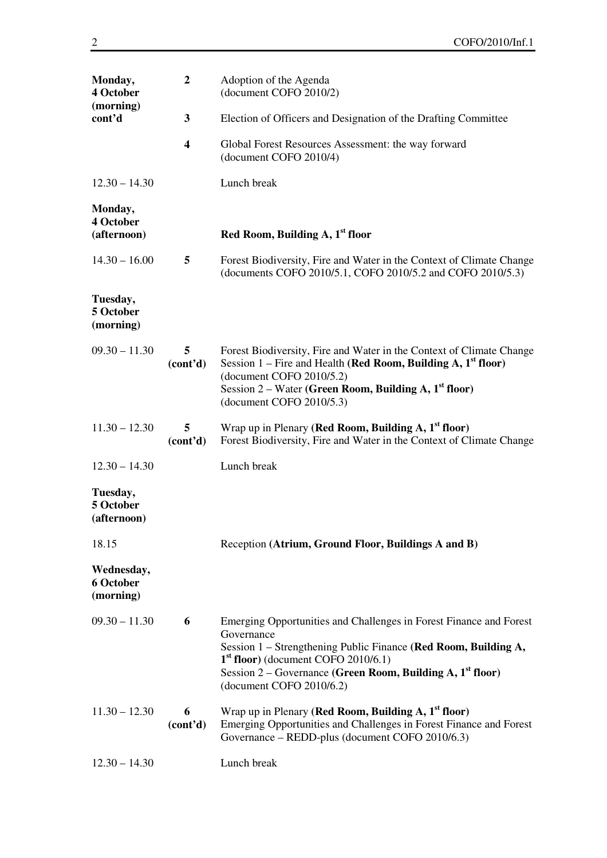| Monday,<br>4 October<br>(morning)<br>cont'd | $\boldsymbol{2}$           | Adoption of the Agenda<br>(document COFO 2010/2)                                                                                                                                                                                                                                                   |
|---------------------------------------------|----------------------------|----------------------------------------------------------------------------------------------------------------------------------------------------------------------------------------------------------------------------------------------------------------------------------------------------|
|                                             | $\mathbf{3}$               | Election of Officers and Designation of the Drafting Committee                                                                                                                                                                                                                                     |
|                                             | $\overline{\mathbf{4}}$    | Global Forest Resources Assessment: the way forward<br>(document COFO 2010/4)                                                                                                                                                                                                                      |
| $12.30 - 14.30$                             |                            | Lunch break                                                                                                                                                                                                                                                                                        |
| Monday,<br>4 October<br>(afternoon)         |                            | Red Room, Building A, 1 <sup>st</sup> floor                                                                                                                                                                                                                                                        |
| $14.30 - 16.00$                             | 5                          | Forest Biodiversity, Fire and Water in the Context of Climate Change<br>(documents COFO 2010/5.1, COFO 2010/5.2 and COFO 2010/5.3)                                                                                                                                                                 |
| Tuesday,<br>5 October<br>(morning)          |                            |                                                                                                                                                                                                                                                                                                    |
| $09.30 - 11.30$                             | 5<br>(cont <sup>2</sup> d) | Forest Biodiversity, Fire and Water in the Context of Climate Change<br>Session 1 – Fire and Health (Red Room, Building A, $1st$ floor)<br>(document COFO 2010/5.2)<br>Session $2$ – Water (Green Room, Building A, $1st$ floor)<br>(document COFO 2010/5.3)                                       |
| $11.30 - 12.30$                             | 5<br>(cont <sup>2</sup> d) | Wrap up in Plenary (Red Room, Building A, $1st$ floor)<br>Forest Biodiversity, Fire and Water in the Context of Climate Change                                                                                                                                                                     |
| $12.30 - 14.30$                             |                            | Lunch break                                                                                                                                                                                                                                                                                        |
| Tuesday,<br>5 October<br>(afternoon)        |                            |                                                                                                                                                                                                                                                                                                    |
| 18.15                                       |                            | Reception (Atrium, Ground Floor, Buildings A and B)                                                                                                                                                                                                                                                |
| Wednesday,<br>6 October<br>(morning)        |                            |                                                                                                                                                                                                                                                                                                    |
| $09.30 - 11.30$                             | 6                          | Emerging Opportunities and Challenges in Forest Finance and Forest<br>Governance<br>Session 1 – Strengthening Public Finance (Red Room, Building A,<br>$1st$ floor) (document COFO 2010/6.1)<br>Session 2 - Governance (Green Room, Building A, 1 <sup>st</sup> floor)<br>(document COFO 2010/6.2) |
| $11.30 - 12.30$                             | 6<br>(cont <sup>2</sup> d) | Wrap up in Plenary (Red Room, Building A, $1st$ floor)<br>Emerging Opportunities and Challenges in Forest Finance and Forest<br>Governance - REDD-plus (document COFO 2010/6.3)                                                                                                                    |
| $12.30 - 14.30$                             |                            | Lunch break                                                                                                                                                                                                                                                                                        |